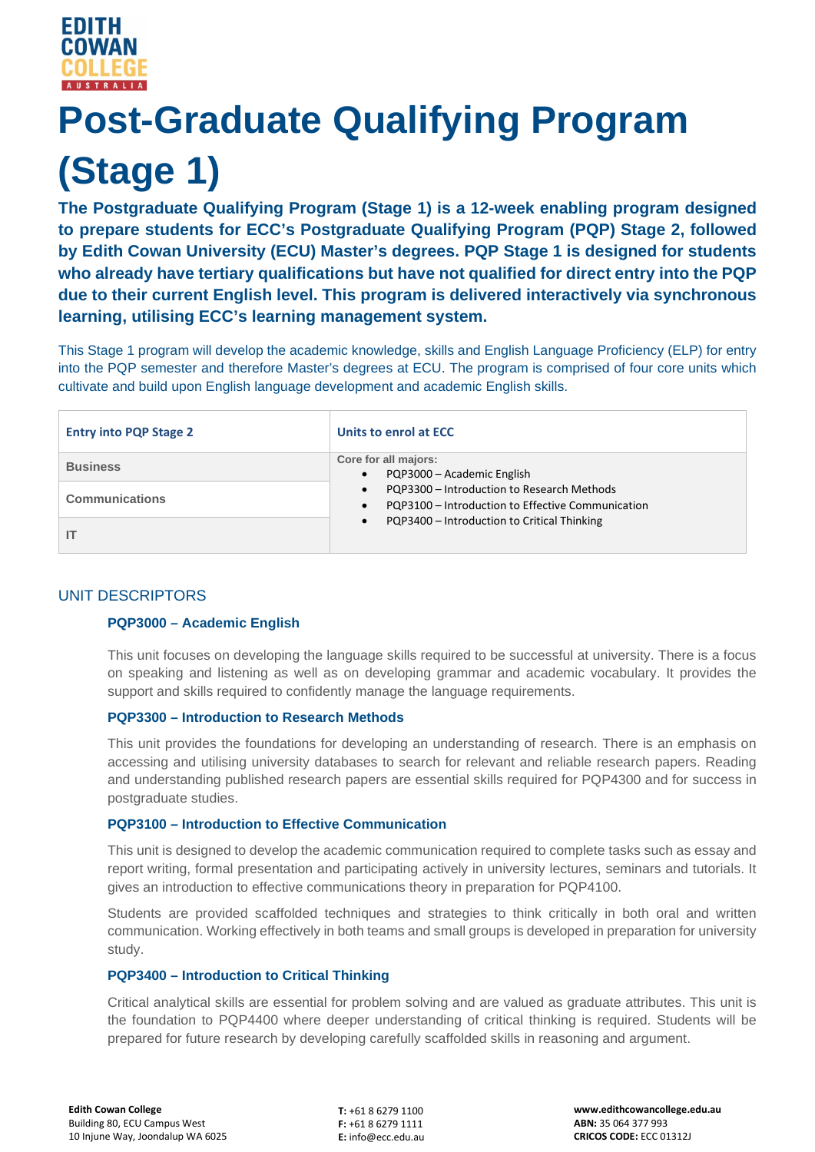# **Post-Graduate Qualifying Program (Stage 1)**

**The Postgraduate Qualifying Program (Stage 1) is a 12-week enabling program designed to prepare students for ECC's Postgraduate Qualifying Program (PQP) Stage 2, followed by Edith Cowan University (ECU) Master's degrees. PQP Stage 1 is designed for students who already have tertiary qualifications but have not qualified for direct entry into the PQP due to their current English level. This program is delivered interactively via synchronous learning, utilising ECC's learning management system.**

This Stage 1 program will develop the academic knowledge, skills and English Language Proficiency (ELP) for entry into the PQP semester and therefore Master's degrees at ECU. The program is comprised of four core units which cultivate and build upon English language development and academic English skills.

| <b>Entry into PQP Stage 2</b> | Units to enrol at ECC                                                                                                                                                                                                                                    |
|-------------------------------|----------------------------------------------------------------------------------------------------------------------------------------------------------------------------------------------------------------------------------------------------------|
| <b>Business</b>               | Core for all majors:<br>PQP3000 - Academic English<br>$\bullet$<br>PQP3300 - Introduction to Research Methods<br>$\bullet$<br>PQP3100 - Introduction to Effective Communication<br>$\bullet$<br>PQP3400 - Introduction to Critical Thinking<br>$\bullet$ |
| <b>Communications</b>         |                                                                                                                                                                                                                                                          |
|                               |                                                                                                                                                                                                                                                          |

## UNIT DESCRIPTORS

### **PQP3000 – Academic English**

This unit focuses on developing the language skills required to be successful at university. There is a focus on speaking and listening as well as on developing grammar and academic vocabulary. It provides the support and skills required to confidently manage the language requirements.

#### **PQP3300 – Introduction to Research Methods**

This unit provides the foundations for developing an understanding of research. There is an emphasis on accessing and utilising university databases to search for relevant and reliable research papers. Reading and understanding published research papers are essential skills required for PQP4300 and for success in postgraduate studies.

#### **PQP3100 – Introduction to Effective Communication**

This unit is designed to develop the academic communication required to complete tasks such as essay and report writing, formal presentation and participating actively in university lectures, seminars and tutorials. It gives an introduction to effective communications theory in preparation for PQP4100.

Students are provided scaffolded techniques and strategies to think critically in both oral and written communication. Working effectively in both teams and small groups is developed in preparation for university study.

#### **PQP3400 – Introduction to Critical Thinking**

Critical analytical skills are essential for problem solving and are valued as graduate attributes. This unit is the foundation to PQP4400 where deeper understanding of critical thinking is required. Students will be prepared for future research by developing carefully scaffolded skills in reasoning and argument.

**T:** +61 8 6279 1100 **F:** +61 8 6279 1111 **E:** info@ecc.edu.au